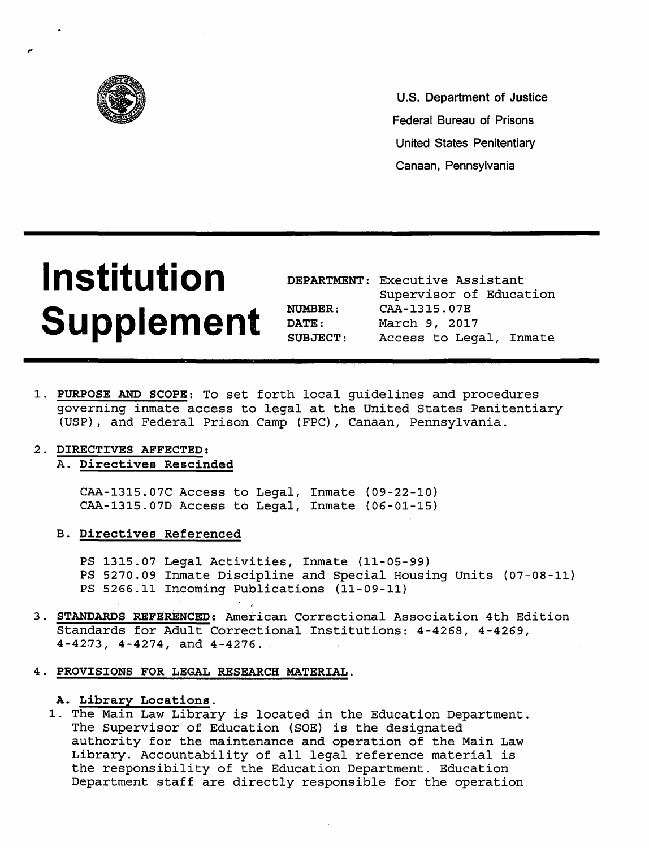

U.S. Department of Justice Federal Bureau of Prisons United States Penitentiary Canaan, Pennsylvania

# **Institution Supplement**

|                 | DEPARTMENT: Executive Assistant |  |  |
|-----------------|---------------------------------|--|--|
|                 | Supervisor of Education         |  |  |
| <b>NUMBER :</b> | CAA-1315.07E                    |  |  |
| <b>DATE:</b>    | March 9, 2017                   |  |  |
| SUBJECT:        | Access to Legal, Inmate         |  |  |

1. PURPOSE AND SCOPE: To set forth local guidelines and procedures governing inmate access to legal at the United States Penitentiary (USP) , and Federal Prison Camp (FPC) , Canaan, Pennsylvania.

## 2. DIRECTIVES AFFECTED:

## A. Directives Rescinded

CAA-1315.07C Access to Legal, Inmate (09-22-10) CAA-1315.070 Access to Legal, Inmate (06-01-15)

B. Directives Referenced

PS 1315.07 Legal Activities, Inmate (11-05-99) PS 5270.09 Inmate Discipline and Special Housing Units (07-08-11) PS 5266.11 Incoming Publications (11-09-11)

- 3. STANDARDS REFERENCED: American Correctional Association 4th Edition Standards for Adult Correctional Institutions: 4-4268, 4-4269, 4-4273, 4-4274, and 4-4276.
- 4. PROVISIONS FOR LEGAL RESEARCH MATERIAL.

## A. Library Locations.

1. The Main Law Library is located in the Education Department. The Supervisor of Education (SOE) is the designated authority for the maintenance and operation of the Main Law Library. Accountability of all legal reference material is the responsibility of the Education Department. Education Department staff are directly responsible for the operation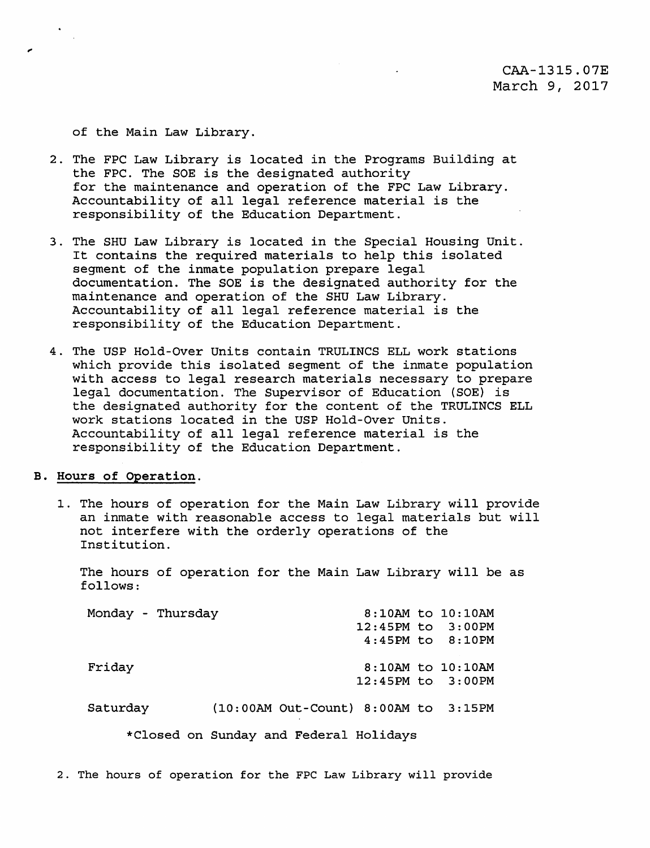of the Main Law Library.

- 2. The FPC Law Library is located in the Programs Building at the FPC. The SOE is the designated authority for the maintenance and operation of the FPC Law Library. Accountability of all legal reference material is the responsibility of the Education Department.
- 3. The SHU Law Library is located in the Special Housing Unit. It contains the required materials to help this isolated segment of the inmate population prepare legal documentation. The SOE is the designated authority for the maintenance and operation of the SHU Law Library. Accountability of all legal reference material is the responsibility of the Education Department.
- 4. The USP Hold-Over Units contain TRULINCS ELL work stations which provide this isolated segment of the inmate population with access to legal research materials necessary to prepare legal documentation. The Supervisor of Education (SOE) is the designated authority for the content of the TRULINCS ELL work stations located in the USP Hold-Over Units. Accountability of all legal reference material is the responsibility of the Education Department.

## B. Hours of Operation.

1. The hours of operation for the Main Law Library will provide an inmate with reasonable access to legal materials but will not interfere with the orderly operations of the Institution.

The hours of operation for the Main Law Library will be as follows:

| Monday - Thursday |                                        |  | $8:10AM$ to $10:10AM$ |
|-------------------|----------------------------------------|--|-----------------------|
|                   |                                        |  | 12:45PM to 3:00PM     |
|                   |                                        |  | $4:45PM$ to $8:10PM$  |
| Friday            |                                        |  | 8:10AM to 10:10AM     |
|                   |                                        |  | 12:45PM to 3:00PM     |
| Saturday          | $(10:00AM$ Out-Count) 8:00AM to 3:15PM |  |                       |
|                   | *Closed on Sunday and Federal Holidays |  |                       |

2. The hours of operation for the FPC Law Library will provide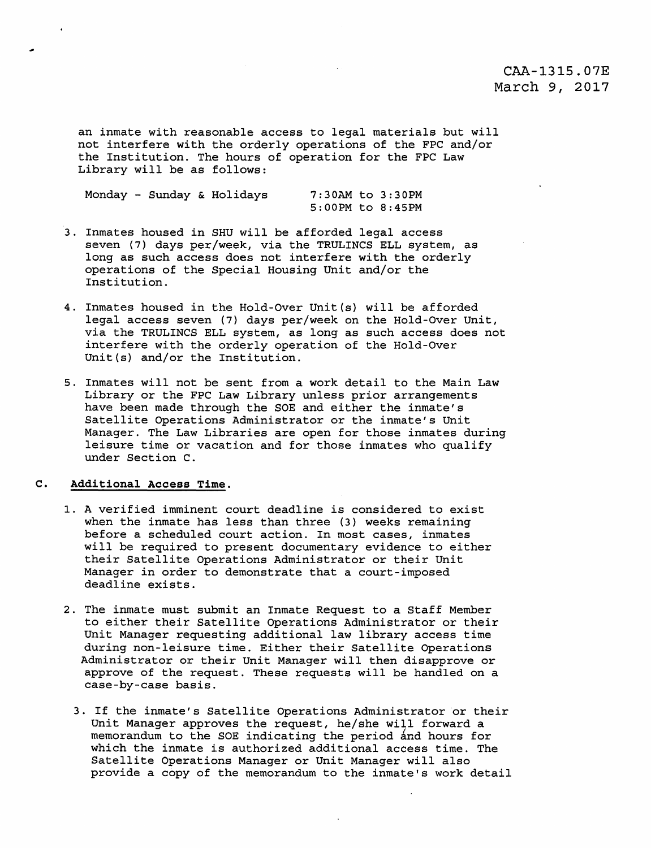# CAA-1315.0?E March 9, 2017

an inmate with reasonable access to legal materials but will not interfere with the orderly operations of the FPC and/or the Institution. The hours of operation for the FPC Law Library will be as follows:

Monday - Sunday & Holidays 7:30AM to 3:30PM

S:OOPM to 8:45PM

- 3. Inmates housed in SHU will be afforded legal access seven (7) days per/week, via the TRULINCS ELL system, as long as such access does not interfere with the orderly operations of the Special Housing Unit and/or the Institution.
- 4. Inmates housed in the Hold-Over Unit(s) will be afforded legal access seven (7) days per/week on the Hold-Over Unit, via the TRULINCS ELL system, as long as such access does not interfere with the orderly operation of the Hold-Over Unit(s) and/or the Institution.
- 5. Inmates will not be sent from a work detail to the Main Law Library or the FPC Law Library unless prior arrangements have been made through the SOE and either the inmate's Satellite Operations Administrator or the inmate's Unit Manager. The Law Libraries are open for those inmates during leisure time or vacation and for those inmates who qualify under Section c.

### **C. Additional Access Time.**

- 1. A verified imminent court deadline is considered to exist when the inmate has less than three (3) weeks remaining before a scheduled court action. In most cases, inmates will be required to present documentary evidence to either their Satellite Operations Administrator or their Unit Manager in order to demonstrate that a court-imposed deadline exists.
- 2. The inmate must submit an Inmate Request to a Staff Member to either their Satellite Operations Administrator or their Unit Manager requesting additional law library access time during non-leisure time. Either their Satellite Operations Administrator or their Unit Manager will then disapprove or approve of the request. These requests will be handled on a case-by-case basis.
	- 3. If the inmate's Satellite Operations Administrator or their Unit Manager approves the request, he/she will forward a memorandum to the SOE indicating the period and hours for which the inmate is authorized additional access time. The Satellite Operations Manager or Unit Manager will also provide a copy of the memorandum to the inmate's work detail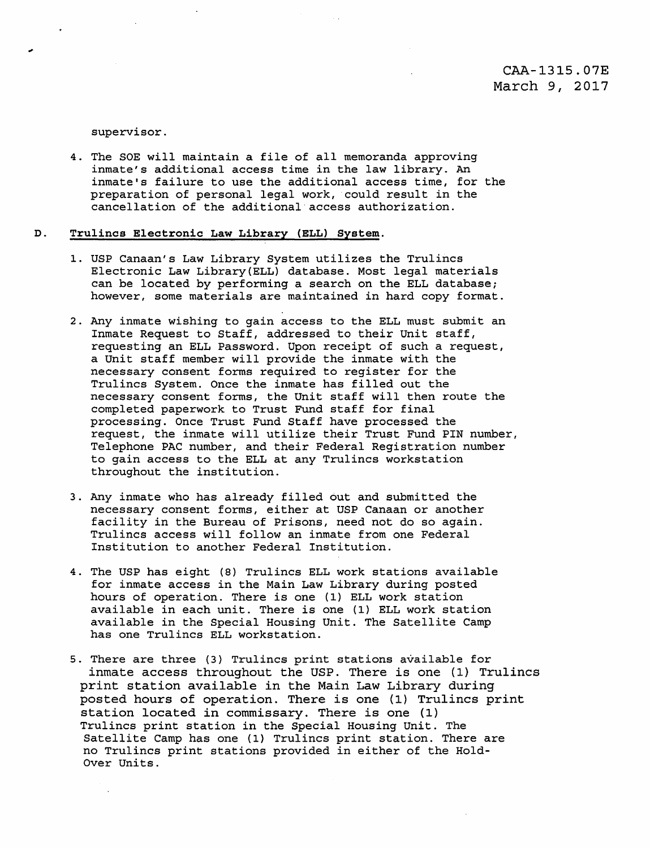supervisor.

4. The SOE will maintain a file of all memoranda approving inmate's additional access time in the law library. An inmate's failure to use the additional access time, for the preparation of personal legal work, could result in the cancellation of the additional·access authorization.

### D. Trulincs Electronic Law Library (ELL) System.

- 1. USP Canaan's Law Library System utilizes the Trulincs Electronic Law Library(ELL) database. Most legal materials can be located by performing a search on the ELL database; however, some materials are maintained in hard copy format.
- 2. Any inmate wishing to gain access to the ELL must submit an Inmate Request to Staff, addressed to their Unit staff, requesting an ELL Password. Upon receipt of such a request, a Unit staff member will provide the inmate with the necessary consent forms required to register for the Trulincs System. Once the inmate has filled out the necessary consent forms, the Unit staff will then route the completed paperwork to Trust Fund staff for final processing. Once Trust Fund Staff have processed the request, the inmate will utilize their Trust Fund PIN number, Telephone PAC number, and their Federal Registration number to gain access to the ELL at any Trulincs workstation throughout the institution.
- 3. Any inmate who has already filled out and submitted the necessary consent forms, either at USP Canaan or another facility in the Bureau of Prisons, need not do so again. Trulincs access will follow an inmate from one Federal Institution to another Federal Institution.
- 4. The USP has eight (8) Trulincs ELL work stations available for inmate access in the Main Law Library during posted hours of operation. There is one (1) ELL work station available in each unit. There is one (1) ELL work station available in the Special Housing Unit. The Satellite Camp has one Trulincs ELL workstation.
- 5. There are three (3) Trulincs print stations available for inmate access throughout the USP. There is one (1) Trulincs print station available in the Main Law Library during posted hours of operation. There is one (1) Trulincs print station located in commissary. There is one (1) Trulincs print station in the Special Housing Unit. The Satellite Camp has one (1) Trulincs print station. There are no Trulincs print stations provided in either of the Holdover Units.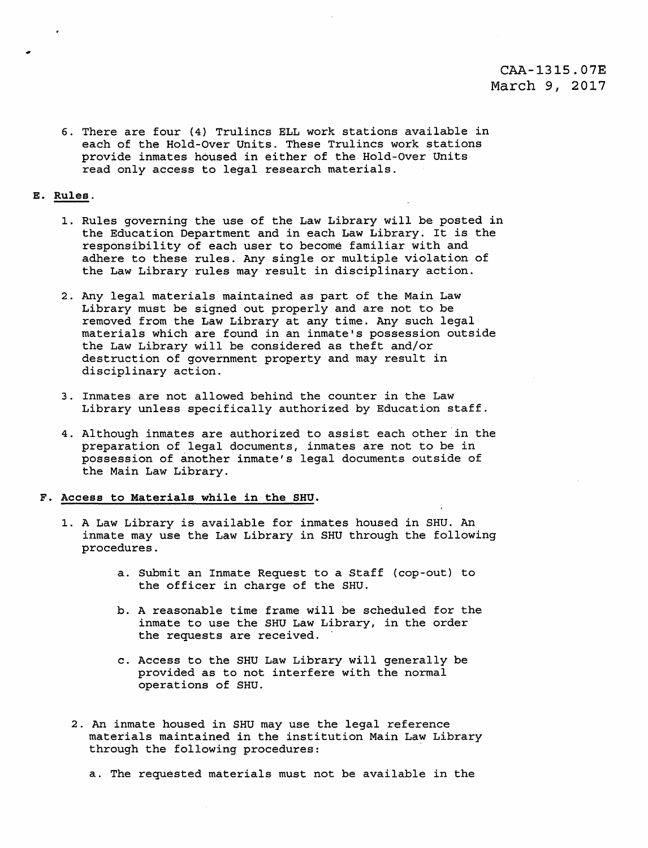## CAA-1315.07E March 9, 2017

6. There are four (4) Trulincs ELL work stations available in each of the Hold-Over Units. These Trulincs work stations provide inmates housed in either of the Hold-Over Units read only access to legal research materials.

### E. Rules.

- 1. Rules governing the use of the Law Library will be posted in the Education Department and in each Law Library. It is the responsibility of each user to become familiar with and adhere to these rules. Any single or multiple violation of the Law Library rules may result in disciplinary action.
- 2. Any legal materials maintained as part of the Main Law Library must be signed out properly and are not to be removed from the Law Library at any time. Any such legal materials which are found in an inmate's possession outside the Law Library will be considered as theft and/or destruction of government property and may result in disciplinary action.
- 3. Inmates are not allowed behind the counter in the Law Library unless specifically authorized by Education staff.
- 4. Although inmates are authorized to assist each other in the preparation of legal documents, inmates are not to be in possession of another inmate's legal documents outside of the Main Law Library.

#### F. Access to Materials while in the SHU.

- 1. A Law Library is available for inmates housed in SHU. An inmate may use the Law Library in SHU through the following procedures.
	- a. Submit an Inmate Request to a Staff {cop-out) to the officer in charge of the SHU.
	- b. A reasonable time frame will be scheduled for the inmate to use the SHU Law Library, in the order the requests are received.
	- c. Access to the SHU Law Library will generally be provided as to not interfere with the normal operations of SHU.
	- 2. An inmate housed in SHU may use the legal reference materials maintained in the institution Main Law Library through the following procedures:

a. The requested materials must not be available in the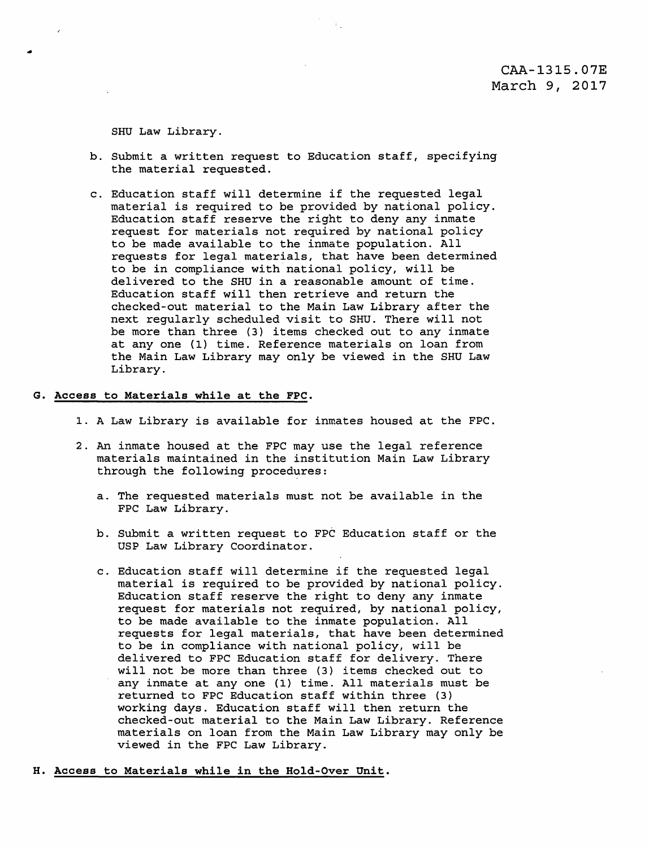SHU Law Library.

•

- b. Submit a written request to Education staff, specifying the material requested.
- c. Education staff will determine if the requested legal material is required to be provided by national policy. Education staff reserve the right to deny any inmate request for materials not required by national policy to be made available to the inmate population. All requests for legal materials, that have been determined to be in compliance with national policy, will be delivered to the SHU in a reasonable amount of time. Education staff will then retrieve and return the checked-out material to the Main Law Library after the next regularly scheduled visit *to* SHU. There will not be more than three (3) items checked out to any inmate at any one (1) time. Reference materials on loan from the Main Law Library may only be viewed in the SHU Law Library.
- G. Access to Materials while at the FPC.
	- 1. A Law Library is available for inmates housed at the FPC.
	- 2. An inmate housed at the FPC may use the legal reference materials maintained in the institution Main Law Library through the following procedures:
		- a. The requested materials must not be available in the FPC Law Library.
		- b. Submit a written request to FPC Education staff or the USP Law Library Coordinator.
		- c. Education staff will determine if the requested legal material is required to be provided by national policy. Education staff reserve the right to deny any inmate request for materials not required, by national policy, to be made available *to* the inmate population. All requests for legal materials, that have been determined to be in compliance with national policy, will be delivered *to* FPC Education staff for delivery. There will not be more than three (3) items checked out *to*  any inmate at any one (1) time. All materials must be returned *to* FPC Education staff within three (3) working days. Education staff will then return the checked-out material *to* the Main Law Library. Reference materials on loan from the Main Law Library may only be viewed in the FPC Law Library.
- H. Access to Materials while in the Hold-Over Unit.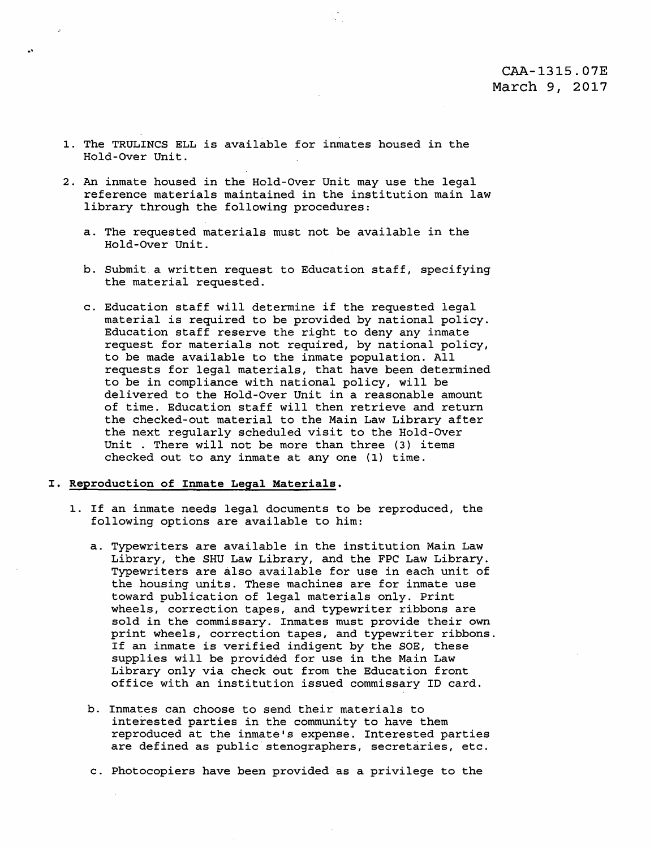## CAA-1315.0?E March 9, 2017

- 1. The TRULINCS ELL is available for inmates housed in the Hold-Over Unit.
- 2. An inmate housed in the Hold-Over Unit may use the legal reference materials maintained in the institution main law library through the following procedures:
	- a. The requested materials must not be available in the Hold-Over Unit.
	- b. Submit a written request to Education staff, specifying the material requested.
	- c. Education staff will determine if the requested legal material is required to be provided by national policy. Education staff reserve the right to deny any inmate request for materials not required, by national policy, to be made available to the inmate population. All requests for legal materials, that have been determined to be in compliance with national policy, will be delivered to the Hold-Over Unit in a reasonable amount of time. Education staff will then retrieve and return the checked-out material to the Main Law Library after the next regularly scheduled visit to the Hold-Over Unit . There will not be more than three {3) items checked out to any inmate at any one (1) time.

#### I. Reproduction of Inmate Legal Materials.

- 1. If an inmate needs legal documents to be reproduced, the following options are available to him:
	- a. Typewriters are available in the institution Main Law Library, the SHU Law Library, and the FPC Law Library. Typewriters are also available for use in each unit of the housing units. These machines are for inmate use toward publication of legal materials only. Print wheels, correction tapes, and typewriter ribbons are sold in the commissary. Inmates must provide their own print wheels, correction tapes, and typewriter ribbons. If an inmate is verified indigent by the SOE, these supplies will be provided for use in the Main Law Library only via check out from the Education front office with an institution issued commissary ID card.
	- b. Inmates can choose to send their materials to interested parties in the community to have them reproduced at the inmate's expense. Interested parties are defined as public stenographers, secretaries, etc.
	- c. Photocopiers have been provided as a privilege to the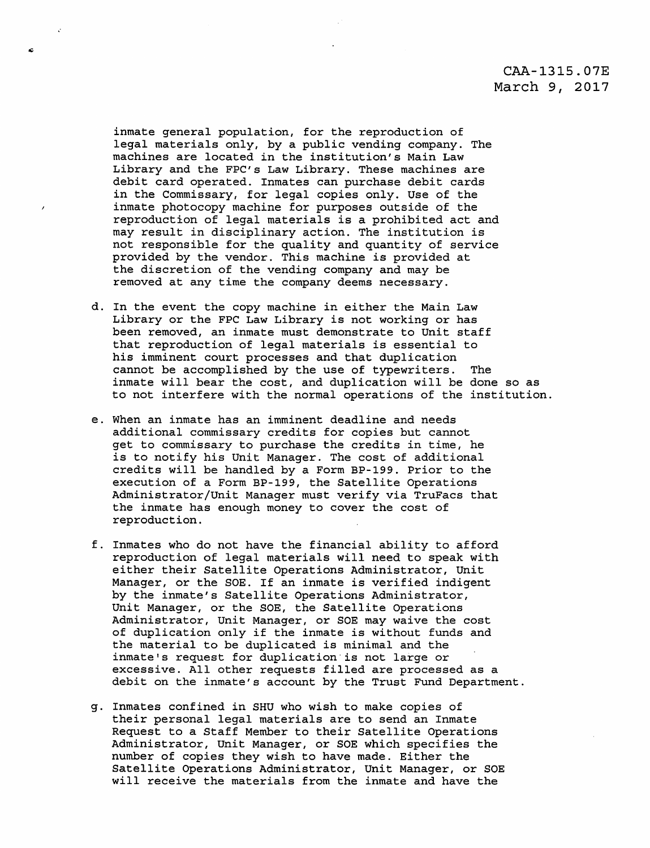# CAA-1315.0?E March 9, 2017

inmate general population, for the reproduction of legal materials only, by a public vending company. The machines are located in the institution's Main Law Library and the FPC's Law Library. These machines are debit card operated. Inmates can purchase debit cards in the Commissary, for legal copies only. Use of the inmate photocopy machine for purposes outside of the reproduction of legal materials is a prohibited act and may result in disciplinary action. The institution is not responsible for the quality and quantity of service provided by the vendor. This machine is provided at the discretion of the vending company and may be removed at any time the company deems necessary.

- d. In the event the copy machine in either the Main Law Library or the FPC Law Library is not working or has been removed, an inmate must demonstrate to Unit staff that reproduction of legal materials is essential to his imminent court processes and that duplication cannot be accomplished by the use of typewriters. The inmate will bear the cost, and duplication will be done so as to not interfere with the normal operations of the institution.
- e. When an inmate has an imminent deadline and needs additional commissary credits for copies but cannot get to commissary to purchase the credits in time, he is to notify his Unit Manager. The cost of additional credits will be handled by a Form BP-199. Prior to the execution of a Form BP-199, the Satellite Operations Administrator/Unit Manager must verify via TruFacs that the inmate has enough money to cover the cost of reproduction.
- f. Inmates who do not have the financial ability to afford reproduction of legal materials will need to speak with either their Satellite Operations Administrator, Unit Manager, or the SOE. If an inmate is verified indigent by the inmate's Satellite Operations Administrator, Unit Manager, or the SOE, the Satellite Operations Administrator, Unit Manager, or SOE may waive the cost of duplication only if the inmate is without funds and the material to be duplicated is minimal and the inmate's request for duplication is not large or excessive. All other requests filled are processed as a debit on the inmate's account by the Trust Fund Department.
- g. Inmates confined in SHU who wish to make copies of their personal legal materials are to send an Inmate Request to a Staff Member to their Satellite Operations Administrator, Unit Manager, or SOE which specifies the number of copies they wish to have made. Either the Satellite Operations Administrator, Unit Manager, or SOE will receive the materials from the inmate and have the